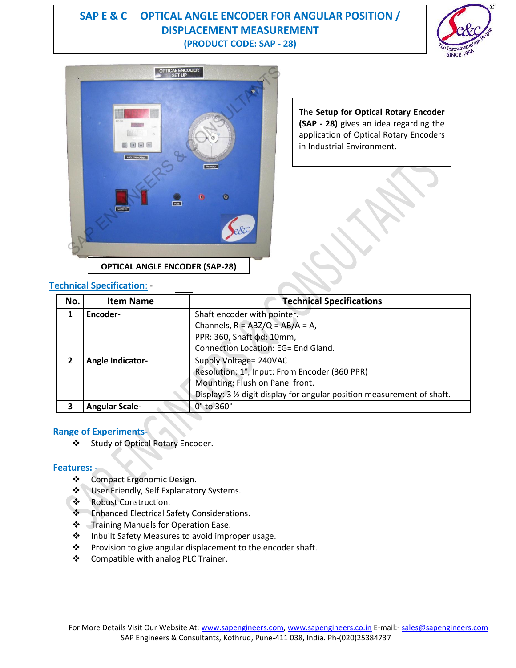# **SAP E & C OPTICAL ANGLE ENCODER FOR ANGULAR POSITION / DISPLACEMENT MEASUREMENT (PRODUCT CODE: SAP - 28)**





The **Setup for Optical Rotary Encoder (SAP - 28)** gives an idea regarding the application of Optical Rotary Encoders in Industrial Environment.

### **Technical Specification**: -

| No. | <b>Item Name</b>      | <b>Technical Specifications</b>                                       |
|-----|-----------------------|-----------------------------------------------------------------------|
|     | Encoder-              | Shaft encoder with pointer.                                           |
|     |                       | Channels, $R = ABZ/Q = AB/A = A$ ,                                    |
|     |                       | PPR: 360, Shaft $\phi$ d: 10mm,                                       |
|     |                       | Connection Location: EG= End Gland.                                   |
|     | Angle Indicator-      | Supply Voltage= 240VAC                                                |
|     |                       | Resolution: 1°, Input: From Encoder (360 PPR)                         |
|     |                       | Mounting: Flush on Panel front.                                       |
|     |                       | Display: 3 % digit display for angular position measurement of shaft. |
|     | <b>Angular Scale-</b> | 0° to 360°                                                            |

#### **Range of Experiments-**

Study of Optical Rotary Encoder.

#### **Features: -**

- Compact Ergonomic Design.
- $\clubsuit$  User Friendly, Self Explanatory Systems.
- ❖ Robust Construction.
- ❖ Enhanced Electrical Safety Considerations.
- Training Manuals for Operation Ease.
- ❖ Inbuilt Safety Measures to avoid improper usage.
- ❖ Provision to give angular displacement to the encoder shaft.
- ❖ Compatible with analog PLC Trainer.